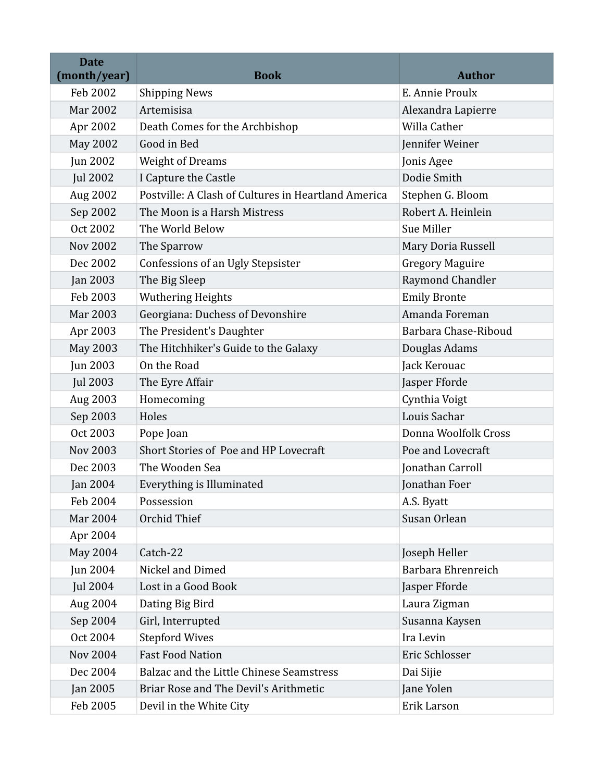| <b>Date</b><br>(month/year) | <b>Book</b>                                         | <b>Author</b>          |
|-----------------------------|-----------------------------------------------------|------------------------|
| Feb 2002                    | <b>Shipping News</b>                                | E. Annie Proulx        |
| Mar 2002                    | Artemisisa                                          | Alexandra Lapierre     |
| Apr 2002                    | Death Comes for the Archbishop                      | <b>Willa Cather</b>    |
| <b>May 2002</b>             | Good in Bed                                         | Jennifer Weiner        |
| <b>Jun 2002</b>             | <b>Weight of Dreams</b>                             | Jonis Agee             |
| <b>Jul 2002</b>             | I Capture the Castle                                | Dodie Smith            |
| Aug 2002                    | Postville: A Clash of Cultures in Heartland America | Stephen G. Bloom       |
| Sep 2002                    | The Moon is a Harsh Mistress                        | Robert A. Heinlein     |
| Oct 2002                    | The World Below                                     | Sue Miller             |
| <b>Nov 2002</b>             | The Sparrow                                         | Mary Doria Russell     |
| Dec 2002                    | Confessions of an Ugly Stepsister                   | <b>Gregory Maguire</b> |
| <b>Jan 2003</b>             | The Big Sleep                                       | Raymond Chandler       |
| Feb 2003                    | <b>Wuthering Heights</b>                            | <b>Emily Bronte</b>    |
| Mar 2003                    | Georgiana: Duchess of Devonshire                    | Amanda Foreman         |
| Apr 2003                    | The President's Daughter                            | Barbara Chase-Riboud   |
| May 2003                    | The Hitchhiker's Guide to the Galaxy                | Douglas Adams          |
| Jun 2003                    | On the Road                                         | Jack Kerouac           |
| Jul 2003                    | The Eyre Affair                                     | Jasper Fforde          |
| Aug 2003                    | Homecoming                                          | Cynthia Voigt          |
| Sep 2003                    | Holes                                               | Louis Sachar           |
| Oct 2003                    | Pope Joan                                           | Donna Woolfolk Cross   |
| <b>Nov 2003</b>             | Short Stories of Poe and HP Lovecraft               | Poe and Lovecraft      |
| Dec 2003                    | The Wooden Sea                                      | Jonathan Carroll       |
| <b>Jan 2004</b>             | Everything is Illuminated                           | Jonathan Foer          |
| Feb 2004                    | Possession                                          | A.S. Byatt             |
| Mar 2004                    | Orchid Thief                                        | Susan Orlean           |
| Apr 2004                    |                                                     |                        |
| May 2004                    | Catch-22                                            | Joseph Heller          |
| Jun 2004                    | Nickel and Dimed                                    | Barbara Ehrenreich     |
| Jul 2004                    | Lost in a Good Book                                 | Jasper Fforde          |
| Aug 2004                    | Dating Big Bird                                     | Laura Zigman           |
| Sep 2004                    | Girl, Interrupted                                   | Susanna Kaysen         |
| Oct 2004                    | <b>Stepford Wives</b>                               | Ira Levin              |
| <b>Nov 2004</b>             | <b>Fast Food Nation</b>                             | Eric Schlosser         |
| Dec 2004                    | Balzac and the Little Chinese Seamstress            | Dai Sijie              |
| Jan 2005                    | Briar Rose and The Devil's Arithmetic               | Jane Yolen             |
| Feb 2005                    | Devil in the White City                             | Erik Larson            |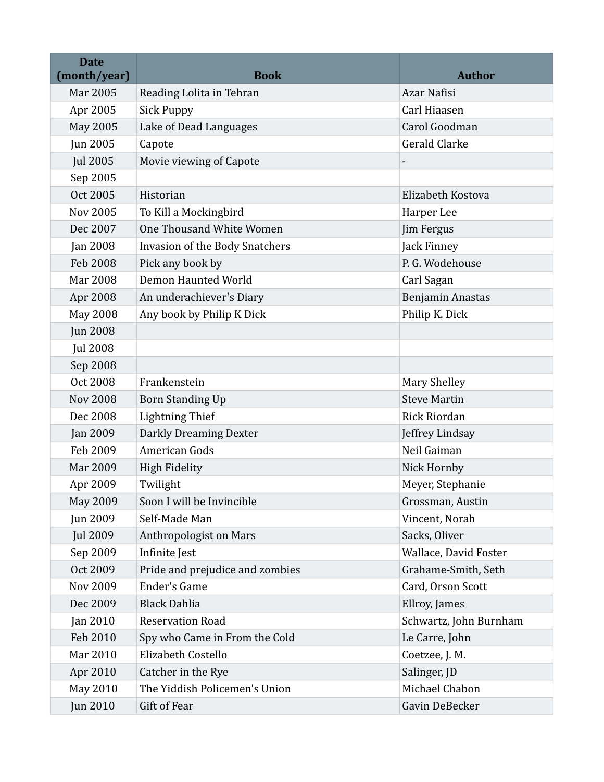| <b>Date</b><br>(month/year) | <b>Book</b>                           | <b>Author</b>          |
|-----------------------------|---------------------------------------|------------------------|
| Mar 2005                    | Reading Lolita in Tehran              | Azar Nafisi            |
| Apr 2005                    | <b>Sick Puppy</b>                     | Carl Hiaasen           |
| <b>May 2005</b>             | Lake of Dead Languages                | Carol Goodman          |
| Jun 2005                    | Capote                                | Gerald Clarke          |
| <b>Jul 2005</b>             | Movie viewing of Capote               |                        |
| Sep 2005                    |                                       |                        |
| Oct 2005                    | Historian                             | Elizabeth Kostova      |
| <b>Nov 2005</b>             | To Kill a Mockingbird                 | Harper Lee             |
| Dec 2007                    | One Thousand White Women              | Jim Fergus             |
| <b>Jan 2008</b>             | <b>Invasion of the Body Snatchers</b> | Jack Finney            |
| Feb 2008                    | Pick any book by                      | P. G. Wodehouse        |
| Mar 2008                    | Demon Haunted World                   | Carl Sagan             |
| Apr 2008                    | An underachiever's Diary              | Benjamin Anastas       |
| May 2008                    | Any book by Philip K Dick             | Philip K. Dick         |
| <b>Jun 2008</b>             |                                       |                        |
| <b>Jul 2008</b>             |                                       |                        |
| Sep 2008                    |                                       |                        |
| Oct 2008                    | Frankenstein                          | Mary Shelley           |
| <b>Nov 2008</b>             | <b>Born Standing Up</b>               | <b>Steve Martin</b>    |
| Dec 2008                    | <b>Lightning Thief</b>                | <b>Rick Riordan</b>    |
| Jan 2009                    | <b>Darkly Dreaming Dexter</b>         | Jeffrey Lindsay        |
| Feb 2009                    | <b>American Gods</b>                  | Neil Gaiman            |
| Mar 2009                    | <b>High Fidelity</b>                  | Nick Hornby            |
| Apr 2009                    | Twilight                              | Meyer, Stephanie       |
| May 2009                    | Soon I will be Invincible             | Grossman, Austin       |
| Jun 2009                    | Self-Made Man                         | Vincent, Norah         |
| <b>Jul 2009</b>             | Anthropologist on Mars                | Sacks, Oliver          |
| Sep 2009                    | Infinite Jest                         | Wallace, David Foster  |
| Oct 2009                    | Pride and prejudice and zombies       | Grahame-Smith, Seth    |
| Nov 2009                    | <b>Ender's Game</b>                   | Card, Orson Scott      |
| Dec 2009                    | <b>Black Dahlia</b>                   | Ellroy, James          |
| Jan 2010                    | <b>Reservation Road</b>               | Schwartz, John Burnham |
| Feb 2010                    | Spy who Came in From the Cold         | Le Carre, John         |
| Mar 2010                    | Elizabeth Costello                    | Coetzee, J. M.         |
| Apr 2010                    | Catcher in the Rye                    | Salinger, JD           |
| May 2010                    | The Yiddish Policemen's Union         | Michael Chabon         |
| Jun 2010                    | Gift of Fear                          | Gavin DeBecker         |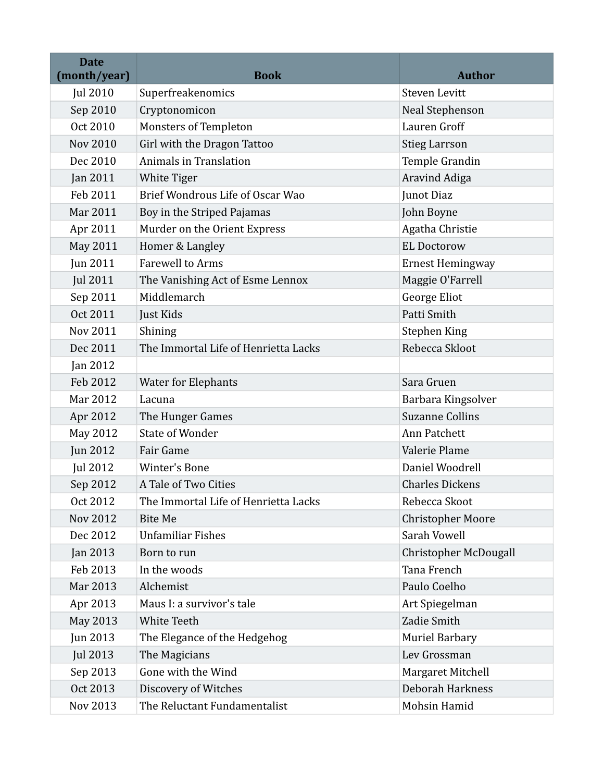| <b>Date</b><br>(month/year) | <b>Book</b>                          | <b>Author</b>            |
|-----------------------------|--------------------------------------|--------------------------|
| <b>Jul 2010</b>             | Superfreakenomics                    | <b>Steven Levitt</b>     |
| Sep 2010                    | Cryptonomicon                        | Neal Stephenson          |
| Oct 2010                    | Monsters of Templeton                | Lauren Groff             |
| Nov 2010                    | Girl with the Dragon Tattoo          | <b>Stieg Larrson</b>     |
| Dec 2010                    | <b>Animals in Translation</b>        | Temple Grandin           |
| <b>Jan 2011</b>             | <b>White Tiger</b>                   | <b>Aravind Adiga</b>     |
| Feb 2011                    | Brief Wondrous Life of Oscar Wao     | Junot Diaz               |
| Mar 2011                    | Boy in the Striped Pajamas           | John Boyne               |
| Apr 2011                    | Murder on the Orient Express         | Agatha Christie          |
| May 2011                    | Homer & Langley                      | <b>EL Doctorow</b>       |
| Jun 2011                    | <b>Farewell to Arms</b>              | <b>Ernest Hemingway</b>  |
| <b>Jul 2011</b>             | The Vanishing Act of Esme Lennox     | Maggie O'Farrell         |
| Sep 2011                    | Middlemarch                          | George Eliot             |
| Oct 2011                    | Just Kids                            | Patti Smith              |
| Nov 2011                    | Shining                              | Stephen King             |
| Dec 2011                    | The Immortal Life of Henrietta Lacks | Rebecca Skloot           |
| Jan 2012                    |                                      |                          |
| Feb 2012                    | <b>Water for Elephants</b>           | Sara Gruen               |
| Mar 2012                    | Lacuna                               | Barbara Kingsolver       |
| Apr 2012                    | The Hunger Games                     | <b>Suzanne Collins</b>   |
| May 2012                    | <b>State of Wonder</b>               | Ann Patchett             |
| Jun 2012                    | Fair Game                            | Valerie Plame            |
| <b>Jul 2012</b>             | <b>Winter's Bone</b>                 | Daniel Woodrell          |
| Sep 2012                    | A Tale of Two Cities                 | <b>Charles Dickens</b>   |
| Oct 2012                    | The Immortal Life of Henrietta Lacks | Rebecca Skoot            |
| <b>Nov 2012</b>             | <b>Bite Me</b>                       | <b>Christopher Moore</b> |
| Dec 2012                    | <b>Unfamiliar Fishes</b>             | Sarah Vowell             |
| Jan 2013                    | Born to run                          | Christopher McDougall    |
| Feb 2013                    | In the woods                         | Tana French              |
| Mar 2013                    | Alchemist                            | Paulo Coelho             |
| Apr 2013                    | Maus I: a survivor's tale            | Art Spiegelman           |
| May 2013                    | White Teeth                          | Zadie Smith              |
| Jun 2013                    | The Elegance of the Hedgehog         | <b>Muriel Barbary</b>    |
| Jul 2013                    | The Magicians                        | Lev Grossman             |
| Sep 2013                    | Gone with the Wind                   | Margaret Mitchell        |
| Oct 2013                    | Discovery of Witches                 | Deborah Harkness         |
| Nov 2013                    | The Reluctant Fundamentalist         | Mohsin Hamid             |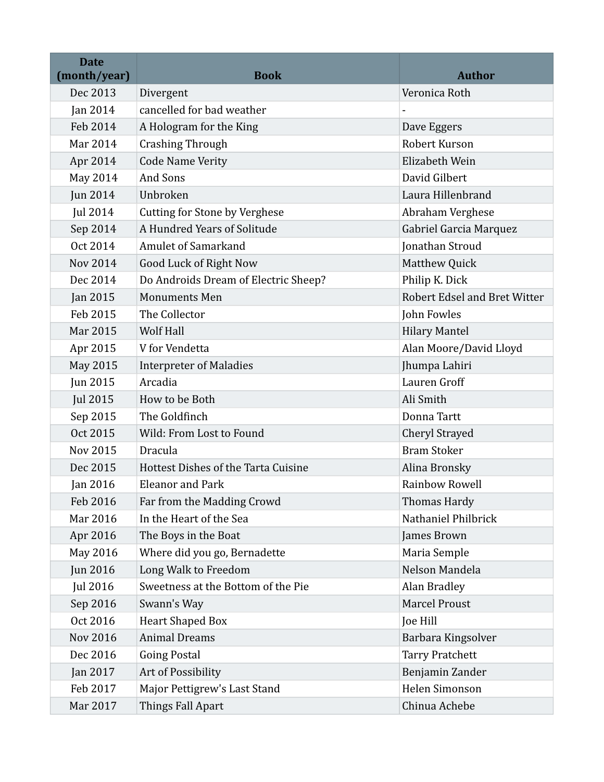| <b>Date</b><br>(month/year) | <b>Book</b>                          | <b>Author</b>                |
|-----------------------------|--------------------------------------|------------------------------|
| Dec 2013                    | Divergent                            | Veronica Roth                |
| Jan 2014                    | cancelled for bad weather            |                              |
| Feb 2014                    | A Hologram for the King              | Dave Eggers                  |
| Mar 2014                    | <b>Crashing Through</b>              | Robert Kurson                |
| Apr 2014                    | <b>Code Name Verity</b>              | Elizabeth Wein               |
| May 2014                    | And Sons                             | David Gilbert                |
| Jun 2014                    | Unbroken                             | Laura Hillenbrand            |
| Jul 2014                    | <b>Cutting for Stone by Verghese</b> | Abraham Verghese             |
| Sep 2014                    | A Hundred Years of Solitude          | Gabriel Garcia Marquez       |
| Oct 2014                    | <b>Amulet of Samarkand</b>           | Jonathan Stroud              |
| <b>Nov 2014</b>             | Good Luck of Right Now               | Matthew Quick                |
| Dec 2014                    | Do Androids Dream of Electric Sheep? | Philip K. Dick               |
| Jan 2015                    | <b>Monuments Men</b>                 | Robert Edsel and Bret Witter |
| Feb 2015                    | The Collector                        | John Fowles                  |
| Mar 2015                    | <b>Wolf Hall</b>                     | <b>Hilary Mantel</b>         |
| Apr 2015                    | V for Vendetta                       | Alan Moore/David Lloyd       |
| May 2015                    | <b>Interpreter of Maladies</b>       | Jhumpa Lahiri                |
| Jun 2015                    | Arcadia                              | Lauren Groff                 |
| Jul 2015                    | How to be Both                       | Ali Smith                    |
| Sep 2015                    | The Goldfinch                        | Donna Tartt                  |
| Oct 2015                    | Wild: From Lost to Found             | Cheryl Strayed               |
| Nov 2015                    | Dracula                              | <b>Bram Stoker</b>           |
| Dec 2015                    | Hottest Dishes of the Tarta Cuisine  | Alina Bronsky                |
| Jan 2016                    | <b>Eleanor and Park</b>              | <b>Rainbow Rowell</b>        |
| Feb 2016                    | Far from the Madding Crowd           | <b>Thomas Hardy</b>          |
| Mar 2016                    | In the Heart of the Sea              | Nathaniel Philbrick          |
| Apr 2016                    | The Boys in the Boat                 | James Brown                  |
| May 2016                    | Where did you go, Bernadette         | Maria Semple                 |
| Jun 2016                    | Long Walk to Freedom                 | Nelson Mandela               |
| Jul 2016                    | Sweetness at the Bottom of the Pie   | Alan Bradley                 |
| Sep 2016                    | Swann's Way                          | <b>Marcel Proust</b>         |
| Oct 2016                    | <b>Heart Shaped Box</b>              | Joe Hill                     |
| Nov 2016                    | <b>Animal Dreams</b>                 | Barbara Kingsolver           |
| Dec 2016                    | <b>Going Postal</b>                  | <b>Tarry Pratchett</b>       |
| Jan 2017                    | Art of Possibility                   | Benjamin Zander              |
| Feb 2017                    | Major Pettigrew's Last Stand         | Helen Simonson               |
| Mar 2017                    | Things Fall Apart                    | Chinua Achebe                |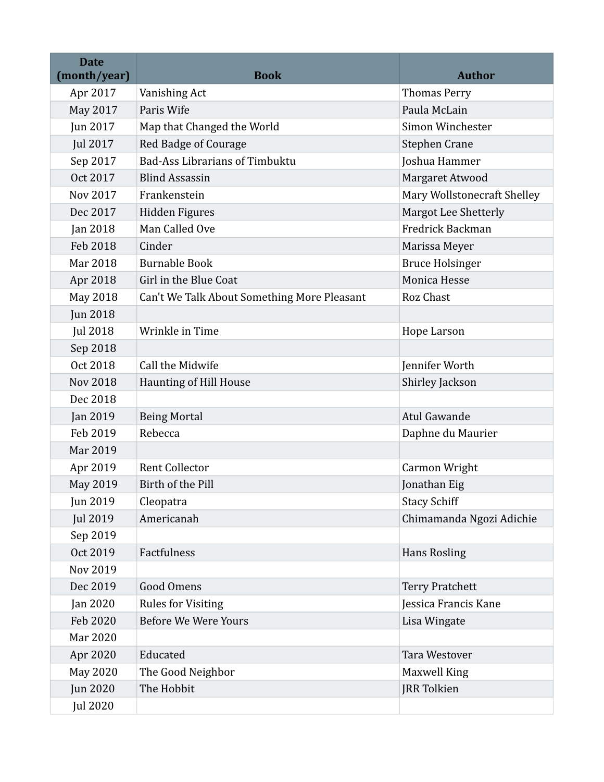| <b>Date</b><br>(month/year) | <b>Book</b>                                 | <b>Author</b>               |
|-----------------------------|---------------------------------------------|-----------------------------|
| Apr 2017                    | Vanishing Act                               | <b>Thomas Perry</b>         |
| May 2017                    | Paris Wife                                  | Paula McLain                |
| Jun 2017                    | Map that Changed the World                  | Simon Winchester            |
| Jul 2017                    | Red Badge of Courage                        | <b>Stephen Crane</b>        |
| Sep 2017                    | <b>Bad-Ass Librarians of Timbuktu</b>       | Joshua Hammer               |
| Oct 2017                    | <b>Blind Assassin</b>                       | Margaret Atwood             |
| Nov 2017                    | Frankenstein                                | Mary Wollstonecraft Shelley |
| Dec 2017                    | Hidden Figures                              | Margot Lee Shetterly        |
| <b>Jan 2018</b>             | Man Called Ove                              | Fredrick Backman            |
| Feb 2018                    | Cinder                                      | Marissa Meyer               |
| Mar 2018                    | <b>Burnable Book</b>                        | <b>Bruce Holsinger</b>      |
| Apr 2018                    | Girl in the Blue Coat                       | <b>Monica Hesse</b>         |
| May 2018                    | Can't We Talk About Something More Pleasant | <b>Roz Chast</b>            |
| <b>Jun 2018</b>             |                                             |                             |
| <b>Jul 2018</b>             | Wrinkle in Time                             | Hope Larson                 |
| Sep 2018                    |                                             |                             |
| Oct 2018                    | Call the Midwife                            | Jennifer Worth              |
| <b>Nov 2018</b>             | <b>Haunting of Hill House</b>               | Shirley Jackson             |
| Dec 2018                    |                                             |                             |
| Jan 2019                    | <b>Being Mortal</b>                         | Atul Gawande                |
| Feb 2019                    | Rebecca                                     | Daphne du Maurier           |
| Mar 2019                    |                                             |                             |
| Apr 2019                    | <b>Rent Collector</b>                       | Carmon Wright               |
| May 2019                    | Birth of the Pill                           | Jonathan Eig                |
| Jun 2019                    | Cleopatra                                   | <b>Stacy Schiff</b>         |
| Jul 2019                    | Americanah                                  | Chimamanda Ngozi Adichie    |
| Sep 2019                    |                                             |                             |
| Oct 2019                    | Factfulness                                 | <b>Hans Rosling</b>         |
| Nov 2019                    |                                             |                             |
| Dec 2019                    | <b>Good Omens</b>                           | <b>Terry Pratchett</b>      |
| <b>Jan 2020</b>             | <b>Rules for Visiting</b>                   | Jessica Francis Kane        |
| Feb 2020                    | <b>Before We Were Yours</b>                 | Lisa Wingate                |
| Mar 2020                    |                                             |                             |
| Apr 2020                    | Educated                                    | Tara Westover               |
| May 2020                    | The Good Neighbor                           | Maxwell King                |
| Jun 2020                    | The Hobbit                                  | <b>JRR</b> Tolkien          |
| <b>Jul 2020</b>             |                                             |                             |